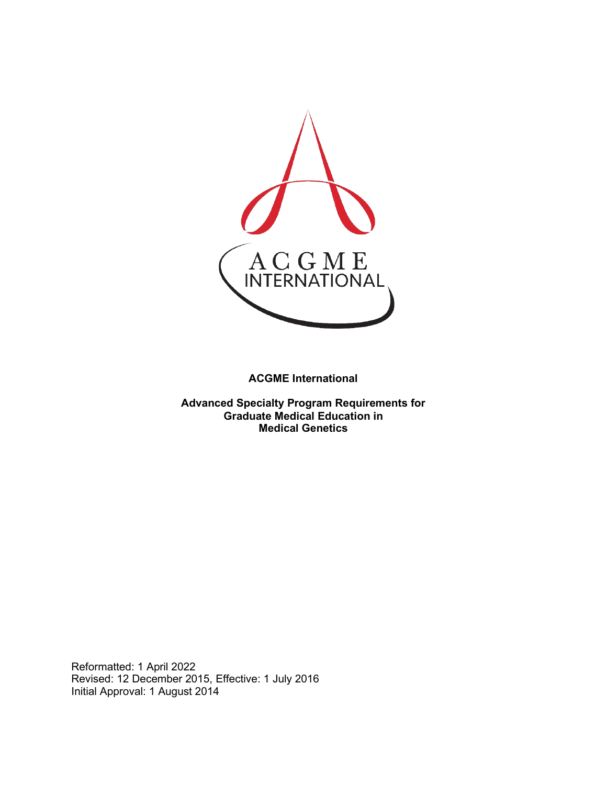

**ACGME International** 

**Advanced Specialty Program Requirements for Graduate Medical Education in Medical Genetics**

Reformatted: 1 April 2022 Revised: 12 December 2015, Effective: 1 July 2016 Initial Approval: 1 August 2014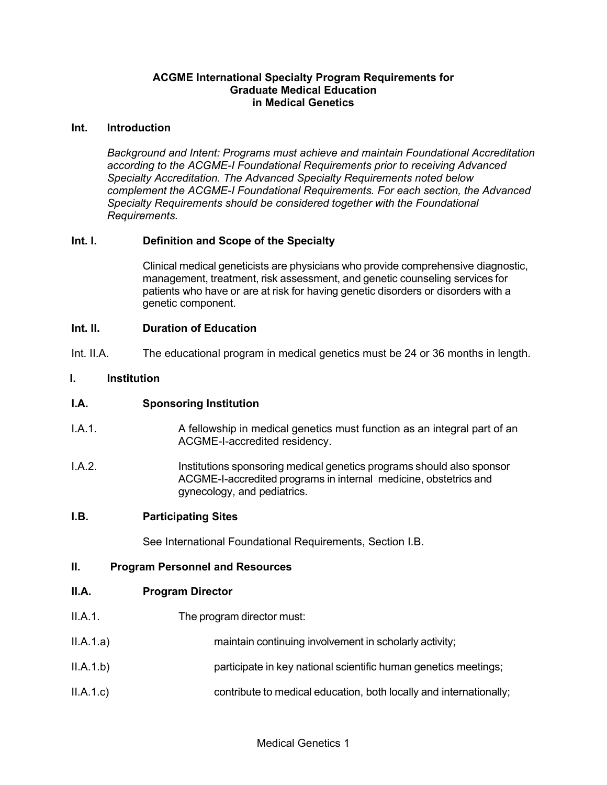#### **ACGME International Specialty Program Requirements for Graduate Medical Education in Medical Genetics**

#### **Int. Introduction**

*Background and Intent: Programs must achieve and maintain Foundational Accreditation according to the ACGME-I Foundational Requirements prior to receiving Advanced Specialty Accreditation. The Advanced Specialty Requirements noted below complement the ACGME-I Foundational Requirements. For each section, the Advanced Specialty Requirements should be considered together with the Foundational Requirements.*

## **Int. I. Definition and Scope of the Specialty**

Clinical medical geneticists are physicians who provide comprehensive diagnostic, management, treatment, risk assessment, and genetic counseling services for patients who have or are at risk for having genetic disorders or disorders with a genetic component.

#### **Int. II. Duration of Education**

Int. II.A. The educational program in medical genetics must be 24 or 36 months in length.

#### **I. Institution**

## **I.A. Sponsoring Institution**

- I.A.1. A fellowship in medical genetics must function as an integral part of an ACGME-I-accredited residency.
- I.A.2. Institutions sponsoring medical genetics programs should also sponsor ACGME-I-accredited programs in internal medicine, obstetrics and gynecology, and pediatrics.

#### **I.B. Participating Sites**

See International Foundational Requirements, Section I.B.

#### **II. Program Personnel and Resources**

#### **II.A. Program Director**

- II.A.1. The program director must:
- II.A.1.a) maintain continuing involvement in scholarly activity;
- II.A.1.b) participate in key national scientific human genetics meetings;
- II.A.1.c) contribute to medical education, both locally and internationally;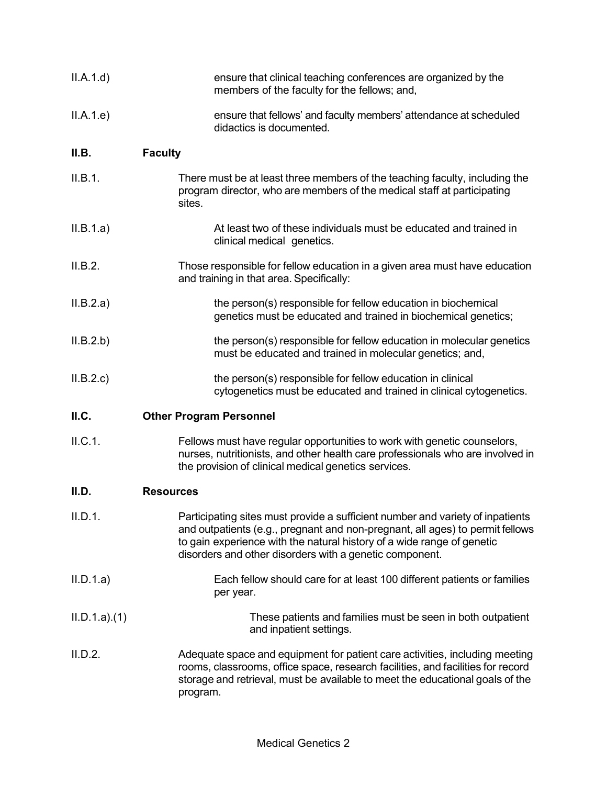| II.A.1.d)   | ensure that clinical teaching conferences are organized by the<br>members of the faculty for the fellows; and,                                                                                                                                                                                       |
|-------------|------------------------------------------------------------------------------------------------------------------------------------------------------------------------------------------------------------------------------------------------------------------------------------------------------|
| II.A.1.e)   | ensure that fellows' and faculty members' attendance at scheduled<br>didactics is documented.                                                                                                                                                                                                        |
| II.B.       | <b>Faculty</b>                                                                                                                                                                                                                                                                                       |
| II.B.1.     | There must be at least three members of the teaching faculty, including the<br>program director, who are members of the medical staff at participating<br>sites.                                                                                                                                     |
| II.B.1.a)   | At least two of these individuals must be educated and trained in<br>clinical medical genetics.                                                                                                                                                                                                      |
| II.B.2.     | Those responsible for fellow education in a given area must have education<br>and training in that area. Specifically:                                                                                                                                                                               |
| II.B.2.a)   | the person(s) responsible for fellow education in biochemical<br>genetics must be educated and trained in biochemical genetics;                                                                                                                                                                      |
| II.B.2.b)   | the person(s) responsible for fellow education in molecular genetics<br>must be educated and trained in molecular genetics; and,                                                                                                                                                                     |
| II.B.2.c    | the person(s) responsible for fellow education in clinical<br>cytogenetics must be educated and trained in clinical cytogenetics.                                                                                                                                                                    |
| II.C.       | <b>Other Program Personnel</b>                                                                                                                                                                                                                                                                       |
| II.C.1.     | Fellows must have regular opportunities to work with genetic counselors,<br>nurses, nutritionists, and other health care professionals who are involved in<br>the provision of clinical medical genetics services.                                                                                   |
| II.D.       | <b>Resources</b>                                                                                                                                                                                                                                                                                     |
| II.D.1.     | Participating sites must provide a sufficient number and variety of inpatients<br>and outpatients (e.g., pregnant and non-pregnant, all ages) to permit fellows<br>to gain experience with the natural history of a wide range of genetic<br>disorders and other disorders with a genetic component. |
| II.D.1.a)   | Each fellow should care for at least 100 different patients or families<br>per year.                                                                                                                                                                                                                 |
| ILD.1.a)(1) | These patients and families must be seen in both outpatient<br>and inpatient settings.                                                                                                                                                                                                               |
| II.D.2.     | Adequate space and equipment for patient care activities, including meeting<br>rooms, classrooms, office space, research facilities, and facilities for record<br>storage and retrieval, must be available to meet the educational goals of the<br>program.                                          |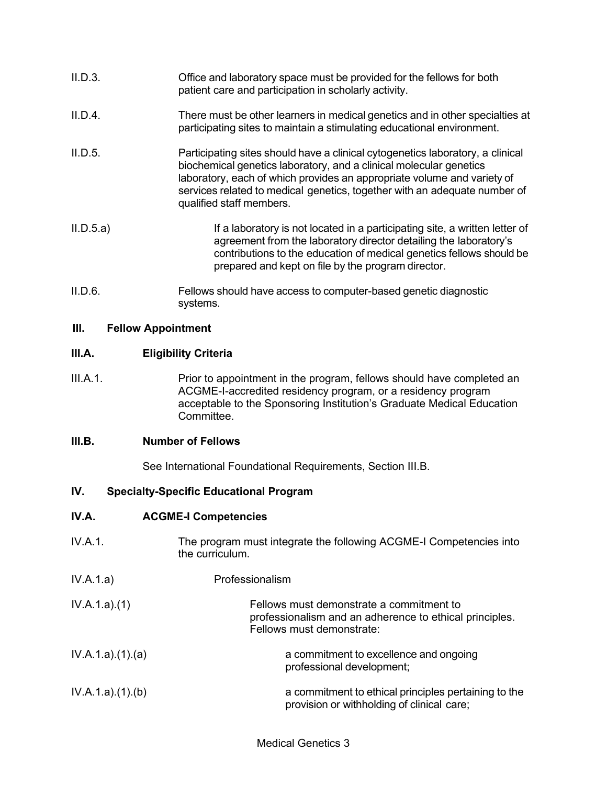| II.D.3. | Office and laboratory space must be provided for the fellows for both |
|---------|-----------------------------------------------------------------------|
|         | patient care and participation in scholarly activity.                 |

- II.D.4. There must be other learners in medical genetics and in other specialties at participating sites to maintain a stimulating educational environment.
- II.D.5. Participating sites should have a clinical cytogenetics laboratory, a clinical biochemical genetics laboratory, and a clinical molecular genetics laboratory, each of which provides an appropriate volume and variety of services related to medical genetics, together with an adequate number of qualified staff members.
- II.D.5.a) If a laboratory is not located in a participating site, a written letter of agreement from the laboratory director detailing the laboratory's contributions to the education of medical genetics fellows should be prepared and kept on file by the program director.
- II.D.6. Fellows should have access to computer-based genetic diagnostic systems.

## **III. Fellow Appointment**

## **III.A. Eligibility Criteria**

III.A.1. Prior to appointment in the program, fellows should have completed an ACGME-I-accredited residency program, or a residency program acceptable to the Sponsoring Institution's Graduate Medical Education Committee.

## **III.B. Number of Fellows**

See International Foundational Requirements, Section III.B.

## **IV. Specialty-Specific Educational Program**

## **IV.A. ACGME-I Competencies**

- IV.A.1. The program must integrate the following ACGME-I Competencies into the curriculum.
- IV.A.1.a) Professionalism

| IV.A.1.a)(1)    | Fellows must demonstrate a commitment to<br>professionalism and an adherence to ethical principles.<br>Fellows must demonstrate: |
|-----------------|----------------------------------------------------------------------------------------------------------------------------------|
| IV.A.1.a)(1)(a) | a commitment to excellence and ongoing<br>professional development;                                                              |

IV.A.1.a).(1).(b) a commitment to ethical principles pertaining to the provision or withholding of clinical care;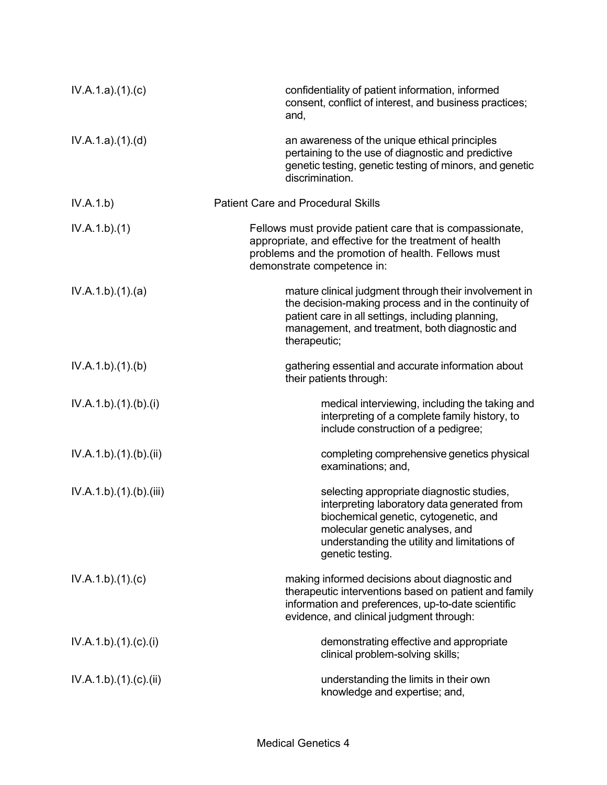| IV.A.1.a)(1)(c)      | confidentiality of patient information, informed<br>consent, conflict of interest, and business practices;<br>and,                                                                                                                       |
|----------------------|------------------------------------------------------------------------------------------------------------------------------------------------------------------------------------------------------------------------------------------|
| IV.A.1.a)(1)(d)      | an awareness of the unique ethical principles<br>pertaining to the use of diagnostic and predictive<br>genetic testing, genetic testing of minors, and genetic<br>discrimination.                                                        |
| IV.A.1.b)            | <b>Patient Care and Procedural Skills</b>                                                                                                                                                                                                |
| IV.A.1.b)(1)         | Fellows must provide patient care that is compassionate,<br>appropriate, and effective for the treatment of health<br>problems and the promotion of health. Fellows must<br>demonstrate competence in:                                   |
| IV.A.1.b)(1)(a)      | mature clinical judgment through their involvement in<br>the decision-making process and in the continuity of<br>patient care in all settings, including planning,<br>management, and treatment, both diagnostic and<br>therapeutic;     |
| IV.A.1.b)(1)(b)      | gathering essential and accurate information about<br>their patients through:                                                                                                                                                            |
| IV.A.1.b)(1)(b)(i)   | medical interviewing, including the taking and<br>interpreting of a complete family history, to<br>include construction of a pedigree;                                                                                                   |
| IV.A.1.b)(1)(b)(ii)  | completing comprehensive genetics physical<br>examinations; and,                                                                                                                                                                         |
| IV.A.1.b)(1)(b)(iii) | selecting appropriate diagnostic studies,<br>interpreting laboratory data generated from<br>biochemical genetic, cytogenetic, and<br>molecular genetic analyses, and<br>understanding the utility and limitations of<br>genetic testing. |
| IV.A.1.b)(1)(c)      | making informed decisions about diagnostic and<br>therapeutic interventions based on patient and family<br>information and preferences, up-to-date scientific<br>evidence, and clinical judgment through:                                |
| IV.A.1.b)(1)(c)(i)   | demonstrating effective and appropriate<br>clinical problem-solving skills;                                                                                                                                                              |
| IV.A.1.b)(1)(c)(ii)  | understanding the limits in their own<br>knowledge and expertise; and,                                                                                                                                                                   |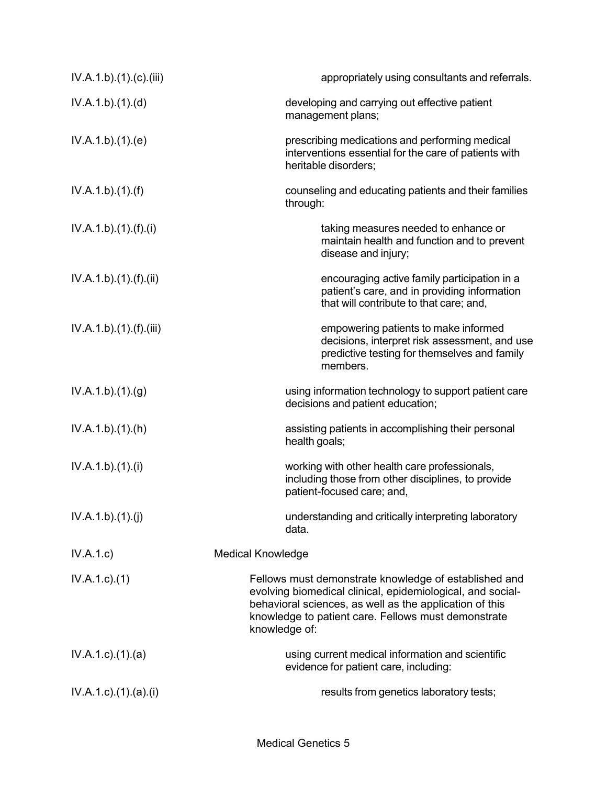| IV.A.1.b)(1)(c)(iii)            | appropriately using consultants and referrals.                                                                                                                                                                                                         |
|---------------------------------|--------------------------------------------------------------------------------------------------------------------------------------------------------------------------------------------------------------------------------------------------------|
| IV.A.1.b)(1)(d)                 | developing and carrying out effective patient<br>management plans;                                                                                                                                                                                     |
| IV.A.1.b)(1)(e)                 | prescribing medications and performing medical<br>interventions essential for the care of patients with<br>heritable disorders;                                                                                                                        |
| IV.A.1.b)(1)(f)                 | counseling and educating patients and their families<br>through:                                                                                                                                                                                       |
| IV.A.1.b)(1)(f)(i)              | taking measures needed to enhance or<br>maintain health and function and to prevent<br>disease and injury;                                                                                                                                             |
| IV.A.1.b)(1)(f)(ii)             | encouraging active family participation in a<br>patient's care, and in providing information<br>that will contribute to that care; and,                                                                                                                |
| IV.A.1.b)(1).(f)(iii)           | empowering patients to make informed<br>decisions, interpret risk assessment, and use<br>predictive testing for themselves and family<br>members.                                                                                                      |
| IV.A.1.b)(1)(g)                 | using information technology to support patient care<br>decisions and patient education;                                                                                                                                                               |
| IV.A.1.b)(1)(h)                 | assisting patients in accomplishing their personal<br>health goals;                                                                                                                                                                                    |
| IV.A.1.b)(1)(i)                 | working with other health care professionals,<br>including those from other disciplines, to provide<br>patient-focused care; and,                                                                                                                      |
| IV.A.1.b)(1)(j)                 | understanding and critically interpreting laboratory<br>data.                                                                                                                                                                                          |
| IV.A.1.c)                       | <b>Medical Knowledge</b>                                                                                                                                                                                                                               |
| $IV.A.1.c.$ (1)                 | Fellows must demonstrate knowledge of established and<br>evolving biomedical clinical, epidemiological, and social-<br>behavioral sciences, as well as the application of this<br>knowledge to patient care. Fellows must demonstrate<br>knowledge of: |
| $IV.A.1.c$ . $(1).$ $(a)$       | using current medical information and scientific<br>evidence for patient care, including:                                                                                                                                                              |
| $IV.A.1.c$ ). $(1).$ (a). $(i)$ | results from genetics laboratory tests;                                                                                                                                                                                                                |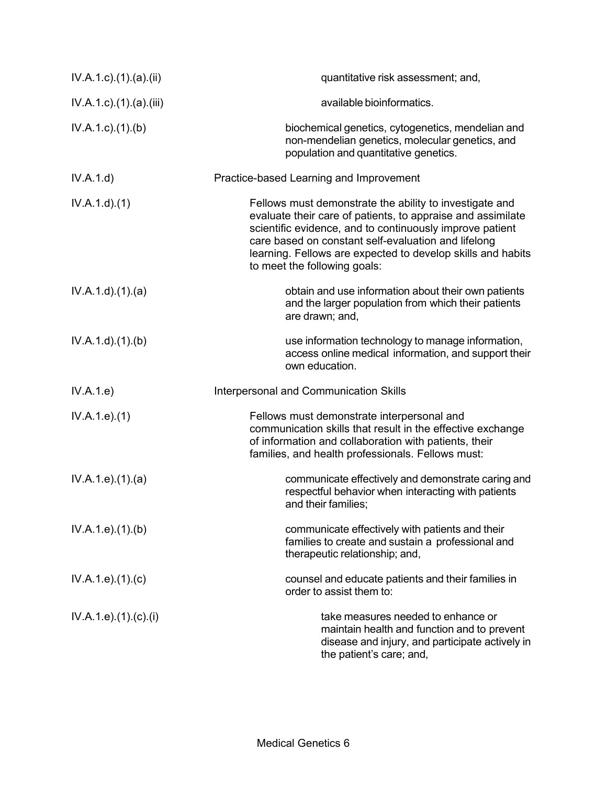| $IV.A.1.c$ ). $(1).$ (a). $(ii)$   | quantitative risk assessment; and,                                                                                                                                                                                                                                                                                                       |
|------------------------------------|------------------------------------------------------------------------------------------------------------------------------------------------------------------------------------------------------------------------------------------------------------------------------------------------------------------------------------------|
| $IV.A.1.c$ . $(1).$ $(a).$ $(iii)$ | available bioinformatics.                                                                                                                                                                                                                                                                                                                |
| $IV.A.1.c.$ (1).(b)                | biochemical genetics, cytogenetics, mendelian and<br>non-mendelian genetics, molecular genetics, and<br>population and quantitative genetics.                                                                                                                                                                                            |
| IV.A.1.d                           | Practice-based Learning and Improvement                                                                                                                                                                                                                                                                                                  |
| IV.A.1.d)(1)                       | Fellows must demonstrate the ability to investigate and<br>evaluate their care of patients, to appraise and assimilate<br>scientific evidence, and to continuously improve patient<br>care based on constant self-evaluation and lifelong<br>learning. Fellows are expected to develop skills and habits<br>to meet the following goals: |
| IV.A.1.d)(1)(a)                    | obtain and use information about their own patients<br>and the larger population from which their patients<br>are drawn; and,                                                                                                                                                                                                            |
| IV.A.1.d)(1)(b)                    | use information technology to manage information,<br>access online medical information, and support their<br>own education.                                                                                                                                                                                                              |
| IV.A.1.e)                          | Interpersonal and Communication Skills                                                                                                                                                                                                                                                                                                   |
| IV.A.1.e. (1)                      | Fellows must demonstrate interpersonal and<br>communication skills that result in the effective exchange<br>of information and collaboration with patients, their<br>families, and health professionals. Fellows must:                                                                                                                   |
| IV.A.1.e. (1). (a)                 | communicate effectively and demonstrate caring and<br>respectful behavior when interacting with patients<br>and their families;                                                                                                                                                                                                          |
| IV.A.1.e. (1)(b)                   | communicate effectively with patients and their<br>families to create and sustain a professional and<br>therapeutic relationship; and,                                                                                                                                                                                                   |
| IV.A.1.e. (1). (c)                 | counsel and educate patients and their families in<br>order to assist them to:                                                                                                                                                                                                                                                           |
| IV.A.1.e).(1).(c).(i)              | take measures needed to enhance or<br>maintain health and function and to prevent<br>disease and injury, and participate actively in<br>the patient's care; and,                                                                                                                                                                         |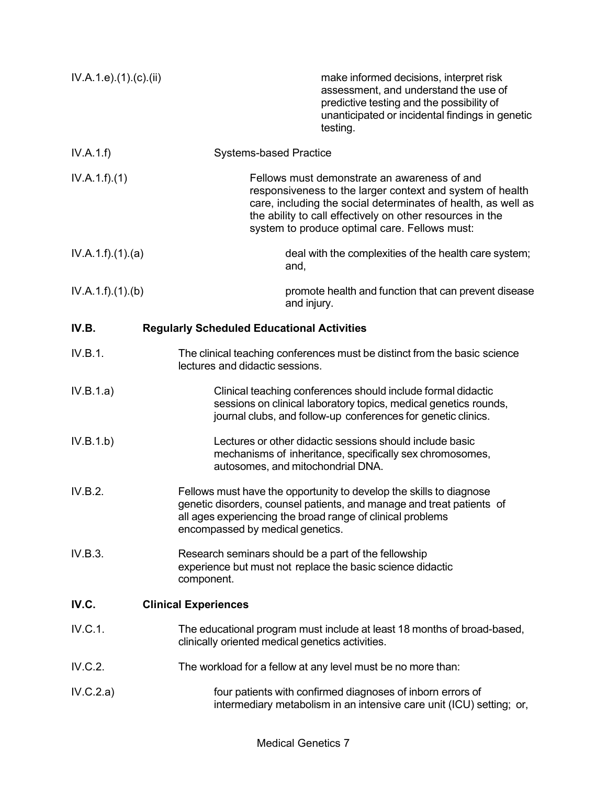| IV.A.1.e. (1). (c). (ii) | make informed decisions, interpret risk<br>assessment, and understand the use of<br>predictive testing and the possibility of<br>unanticipated or incidental findings in genetic<br>testing.                                                                                             |
|--------------------------|------------------------------------------------------------------------------------------------------------------------------------------------------------------------------------------------------------------------------------------------------------------------------------------|
| IV.A.1.f)                | <b>Systems-based Practice</b>                                                                                                                                                                                                                                                            |
| IV.A.1.f)(1)             | Fellows must demonstrate an awareness of and<br>responsiveness to the larger context and system of health<br>care, including the social determinates of health, as well as<br>the ability to call effectively on other resources in the<br>system to produce optimal care. Fellows must: |
| IV.A.1.f)(1)(a)          | deal with the complexities of the health care system;<br>and,                                                                                                                                                                                                                            |
| IV.A.1.f)(1)(b)          | promote health and function that can prevent disease<br>and injury.                                                                                                                                                                                                                      |
| IV.B.                    | <b>Regularly Scheduled Educational Activities</b>                                                                                                                                                                                                                                        |
| IV.B.1.                  | The clinical teaching conferences must be distinct from the basic science<br>lectures and didactic sessions.                                                                                                                                                                             |
| IV.B.1.a)                | Clinical teaching conferences should include formal didactic<br>sessions on clinical laboratory topics, medical genetics rounds,<br>journal clubs, and follow-up conferences for genetic clinics.                                                                                        |
| IV.B.1.b)                | Lectures or other didactic sessions should include basic<br>mechanisms of inheritance, specifically sex chromosomes,<br>autosomes, and mitochondrial DNA.                                                                                                                                |
| IV.B.2.                  | Fellows must have the opportunity to develop the skills to diagnose<br>genetic disorders, counsel patients, and manage and treat patients of<br>all ages experiencing the broad range of clinical problems<br>encompassed by medical genetics.                                           |
| IV.B.3.                  | Research seminars should be a part of the fellowship<br>experience but must not replace the basic science didactic<br>component.                                                                                                                                                         |
| IV.C.                    | <b>Clinical Experiences</b>                                                                                                                                                                                                                                                              |
| IV.C.1.                  | The educational program must include at least 18 months of broad-based,<br>clinically oriented medical genetics activities.                                                                                                                                                              |
| IV.C.2.                  | The workload for a fellow at any level must be no more than:                                                                                                                                                                                                                             |
| IV.C.2.a)                | four patients with confirmed diagnoses of inborn errors of<br>intermediary metabolism in an intensive care unit (ICU) setting; or,                                                                                                                                                       |